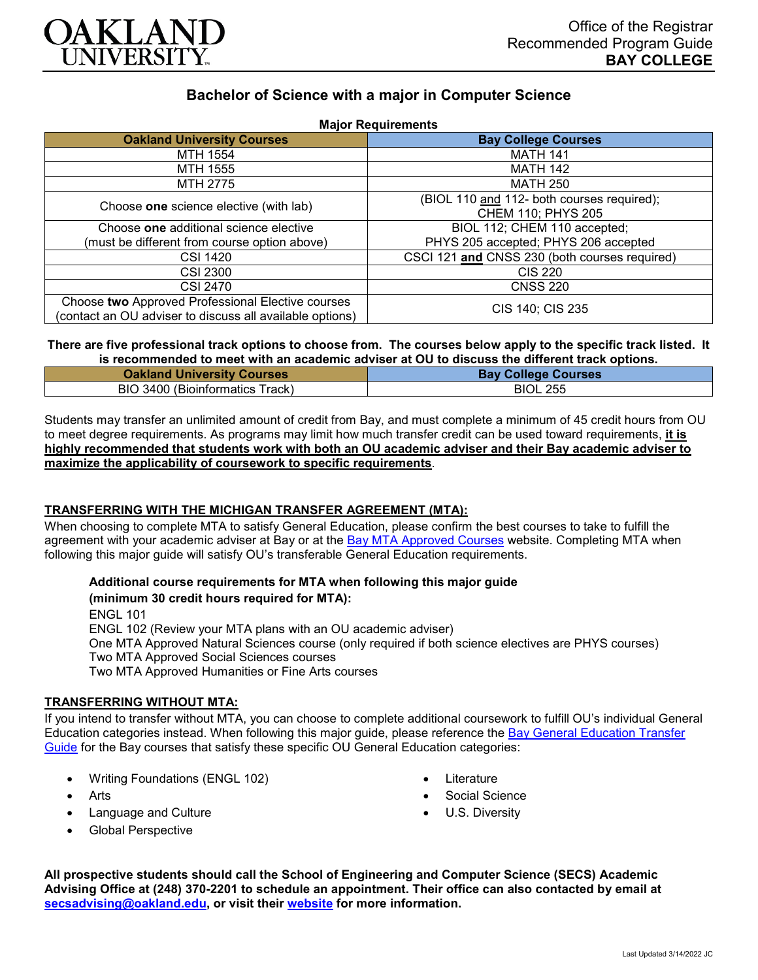

# **Bachelor of Science with a major in Computer Science**

| <b>Major Requirements</b>                                                                                     |                                                                  |
|---------------------------------------------------------------------------------------------------------------|------------------------------------------------------------------|
| <b>Oakland University Courses</b>                                                                             | <b>Bay College Courses</b>                                       |
| <b>MTH 1554</b>                                                                                               | <b>MATH 141</b>                                                  |
| MTH 1555                                                                                                      | <b>MATH 142</b>                                                  |
| MTH 2775                                                                                                      | <b>MATH 250</b>                                                  |
| Choose one science elective (with lab)                                                                        | (BIOL 110 and 112- both courses required);<br>CHEM 110; PHYS 205 |
| Choose one additional science elective                                                                        | BIOL 112; CHEM 110 accepted;                                     |
| (must be different from course option above)                                                                  | PHYS 205 accepted; PHYS 206 accepted                             |
| <b>CSI 1420</b>                                                                                               | CSCI 121 and CNSS 230 (both courses required)                    |
| <b>CSI 2300</b>                                                                                               | <b>CIS 220</b>                                                   |
| CSI 2470                                                                                                      | <b>CNSS 220</b>                                                  |
| Choose two Approved Professional Elective courses<br>(contact an OU adviser to discuss all available options) | CIS 140; CIS 235                                                 |

**There are five professional track options to choose from. The courses below apply to the specific track listed. It is recommended to meet with an academic adviser at OU to discuss the different track options.**

| <b>Oakland University Courses</b> | <b>Bay College Courses</b> |
|-----------------------------------|----------------------------|
| BIO 3400 (Bioinformatics Track)   | <b>BIOL 255</b>            |

Students may transfer an unlimited amount of credit from Bay, and must complete a minimum of 45 credit hours from OU to meet degree requirements. As programs may limit how much transfer credit can be used toward requirements, **it is highly recommended that students work with both an OU academic adviser and their Bay academic adviser to maximize the applicability of coursework to specific requirements**.

## **TRANSFERRING WITH THE MICHIGAN TRANSFER AGREEMENT (MTA):**

When choosing to complete MTA to satisfy General Education, please confirm the best courses to take to fulfill the agreement with your academic adviser at Bay or at the **[Bay MTA Approved Courses](https://www.baycollege.edu/admissions/transfer/transfer-agreements.php)** website. Completing MTA when following this major guide will satisfy OU's transferable General Education requirements.

**Additional course requirements for MTA when following this major guide (minimum 30 credit hours required for MTA):**

ENGL 101 ENGL 102 (Review your MTA plans with an OU academic adviser) One MTA Approved Natural Sciences course (only required if both science electives are PHYS courses) Two MTA Approved Social Sciences courses Two MTA Approved Humanities or Fine Arts courses

#### **TRANSFERRING WITHOUT MTA:**

If you intend to transfer without MTA, you can choose to complete additional coursework to fulfill OU's individual General Education categories instead. When following this major guide, please reference the [Bay General Education Transfer](https://www.oakland.edu/Assets/Oakland/program-guides/bay-college/university-general-education-requirements/Bay%20Gen%20Ed.pdf)  [Guide](https://www.oakland.edu/Assets/Oakland/program-guides/bay-college/university-general-education-requirements/Bay%20Gen%20Ed.pdf) for the Bay courses that satisfy these specific OU General Education categories:

- Writing Foundations (ENGL 102)
- **Arts**
- Language and Culture
- Global Perspective
- **Literature**
- Social Science
- U.S. Diversity

**All prospective students should call the School of Engineering and Computer Science (SECS) Academic Advising Office at (248) 370-2201 to schedule an appointment. Their office can also contacted by email at [secsadvising@oakland.edu,](mailto:secsadvising@oakland.edu) or visit their [website](https://wwwp.oakland.edu/secs/advising/) for more information.**